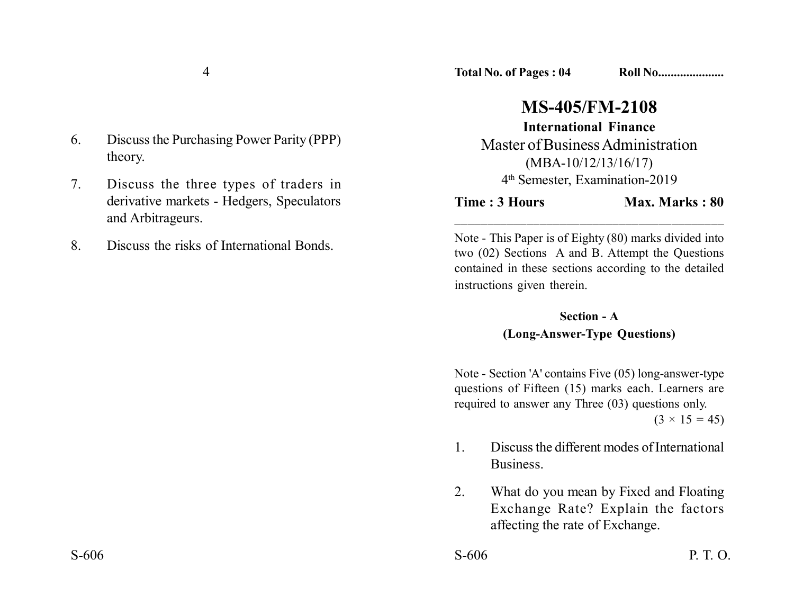6. Discuss the Purchasing Power Parity (PPP) theory.

7. Discuss the three types of traders in derivative markets - Hedgers, Speculators and Arbitrageurs.

8. Discuss the risks of International Bonds.

**Total No. of Pages : 04 Roll No....................** 

## **MS-405/FM-2108**

**International Finance** Master of Business Administration (MBA-10/12/13/16/17) 4th Semester, Examination-2019

**Time : 3 Hours Max. Marks : 80** 

Note - This Paper is of Eighty (80) marks divided into two (02) Sections A and B. Attempt the Questions contained in these sections according to the detailed instructions given therein.

\_\_\_\_\_\_\_\_\_\_\_\_\_\_\_\_\_\_\_\_\_\_\_\_\_\_\_\_\_\_\_\_\_\_\_\_\_\_\_\_\_

## **Section - A (Long-Answer-Type Questions)**

Note - Section 'A' contains Five (05) long-answer-type questions of Fifteen (15) marks each. Learners are required to answer any Three (03) questions only.

 $(3 \times 15 = 45)$ 

- 1. Discuss the different modes of International Business.
- 2. What do you mean by Fixed and Floating Exchange Rate? Explain the factors affecting the rate of Exchange.

 $S-606$  P. T. O.